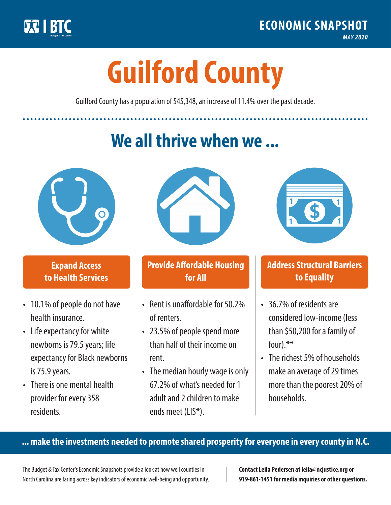

**1**

# **Guilford County**

Guilford County has a population of 545,348, an increase of 11.4% over the past decade.

# **We all thrive when we ...**



**\$ <sup>1</sup>**

**\$ <sup>1</sup>**

## **Expand Access to Health Services**

- 10.1% of people do not have health insurance.
- Life expectancy for white newborns is 79.5years; life expectancy for Black newborns is 75.9 years.
- There is one mental health provider for every 358 residents.



## **Provide Affordable Housing for All**

- Rent is unaffordable for 50 2% of renters.
- 23.5% of people spend more than half of their income on rent.
- The median hourly wage is only 67.2% of what's needed for 1 adult and 2 children to make ends meet (LIS\*).



## **Address Structural Barriers to Equality**

- 36.7% of residents are considered low-income (less than \$50,200 for a family of four).\*\*
- The richest 5% of households make an average of 29 times more than the poorest 20% of households.

#### **... make the investments needed to promote shared prosperity for everyone in every county in N.C.**

The Budget & Tax Center's Economic Snapshots provide a look at how well counties in North Carolina are faring across key indicators of economic well-being and opportunity.